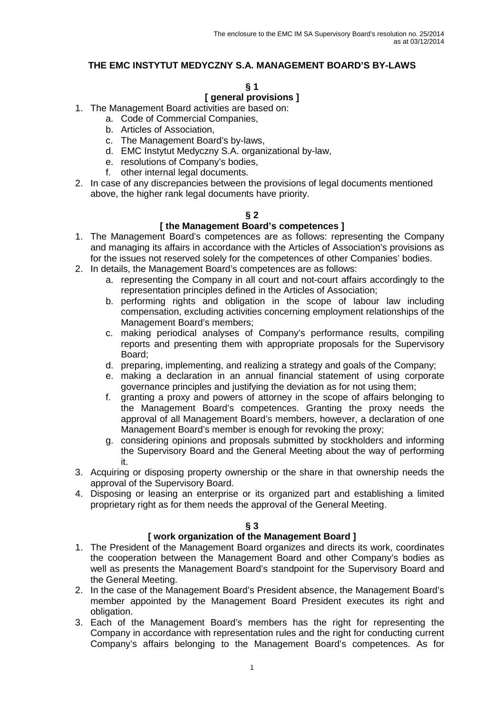## **THE EMC INSTYTUT MEDYCZNY S.A. MANAGEMENT BOARD'S BY-LAWS**

#### **§ 1**

# **[ general provisions ]**

- 1. The Management Board activities are based on:
	- a. Code of Commercial Companies,
	- b. Articles of Association,
	- c. The Management Board's by-laws,
	- d. EMC Instytut Medyczny S.A. organizational by-law,
	- e. resolutions of Company's bodies,
	- f. other internal legal documents.
- 2. In case of any discrepancies between the provisions of legal documents mentioned above, the higher rank legal documents have priority.

### **§ 2**

## **[ the Management Board's competences ]**

- 1. The Management Board's competences are as follows: representing the Company and managing its affairs in accordance with the Articles of Association's provisions as for the issues not reserved solely for the competences of other Companies' bodies.
- 2. In details, the Management Board's competences are as follows:
	- a. representing the Company in all court and not-court affairs accordingly to the representation principles defined in the Articles of Association;
	- b. performing rights and obligation in the scope of labour law including compensation, excluding activities concerning employment relationships of the Management Board's members;
	- c. making periodical analyses of Company's performance results, compiling reports and presenting them with appropriate proposals for the Supervisory Board;
	- d. preparing, implementing, and realizing a strategy and goals of the Company;
	- e. making a declaration in an annual financial statement of using corporate governance principles and justifying the deviation as for not using them;
	- f. granting a proxy and powers of attorney in the scope of affairs belonging to the Management Board's competences. Granting the proxy needs the approval of all Management Board's members, however, a declaration of one Management Board's member is enough for revoking the proxy;
	- g. considering opinions and proposals submitted by stockholders and informing the Supervisory Board and the General Meeting about the way of performing it.
- 3. Acquiring or disposing property ownership or the share in that ownership needs the approval of the Supervisory Board.
- 4. Disposing or leasing an enterprise or its organized part and establishing a limited proprietary right as for them needs the approval of the General Meeting.

**§ 3** 

#### **[ work organization of the Management Board ]**

- 1. The President of the Management Board organizes and directs its work, coordinates the cooperation between the Management Board and other Company's bodies as well as presents the Management Board's standpoint for the Supervisory Board and the General Meeting.
- 2. In the case of the Management Board's President absence, the Management Board's member appointed by the Management Board President executes its right and obligation.
- 3. Each of the Management Board's members has the right for representing the Company in accordance with representation rules and the right for conducting current Company's affairs belonging to the Management Board's competences. As for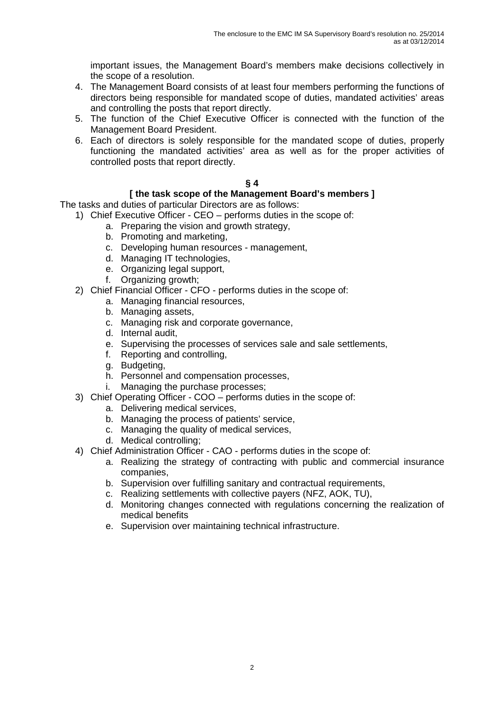important issues, the Management Board's members make decisions collectively in the scope of a resolution.

- 4. The Management Board consists of at least four members performing the functions of directors being responsible for mandated scope of duties, mandated activities' areas and controlling the posts that report directly.
- 5. The function of the Chief Executive Officer is connected with the function of the Management Board President.
- 6. Each of directors is solely responsible for the mandated scope of duties, properly functioning the mandated activities' area as well as for the proper activities of controlled posts that report directly.

## **§ 4**

## **[ the task scope of the Management Board's members ]**

The tasks and duties of particular Directors are as follows:

1) Chief Executive Officer - CEO – performs duties in the scope of:

- a. Preparing the vision and growth strategy,
- b. Promoting and marketing,
- c. Developing human resources management,
- d. Managing IT technologies,
- e. Organizing legal support,
- f. Organizing growth;
- 2) Chief Financial Officer CFO performs duties in the scope of:
	- a. Managing financial resources,
	- b. Managing assets,
	- c. Managing risk and corporate governance,
	- d. Internal audit,
	- e. Supervising the processes of services sale and sale settlements,
	- f. Reporting and controlling,
	- g. Budgeting,
	- h. Personnel and compensation processes,
	- i. Managing the purchase processes;
- 3) Chief Operating Officer COO performs duties in the scope of:
	- a. Delivering medical services,
	- b. Managing the process of patients' service,
	- c. Managing the quality of medical services,
	- d. Medical controlling;
- 4) Chief Administration Officer CAO performs duties in the scope of:
	- a. Realizing the strategy of contracting with public and commercial insurance companies,
	- b. Supervision over fulfilling sanitary and contractual requirements,
	- c. Realizing settlements with collective payers (NFZ, AOK, TU),
	- d. Monitoring changes connected with regulations concerning the realization of medical benefits
	- e. Supervision over maintaining technical infrastructure.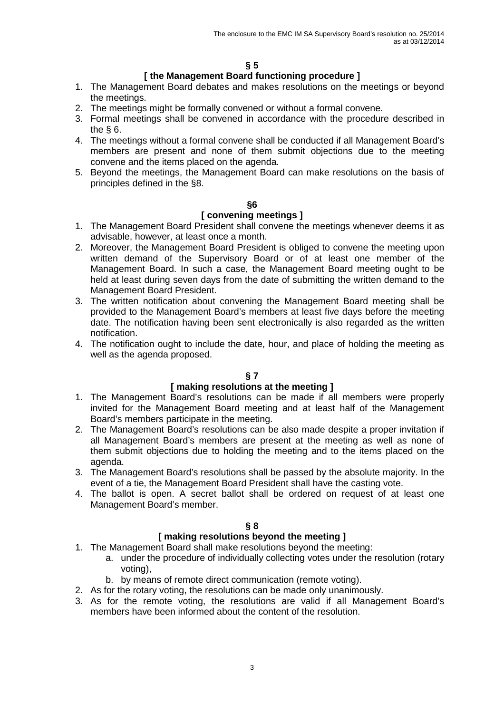### **[ the Management Board functioning procedure ]**

- 1. The Management Board debates and makes resolutions on the meetings or beyond the meetings.
- 2. The meetings might be formally convened or without a formal convene.
- 3. Formal meetings shall be convened in accordance with the procedure described in the § 6.
- 4. The meetings without a formal convene shall be conducted if all Management Board's members are present and none of them submit objections due to the meeting convene and the items placed on the agenda.
- 5. Beyond the meetings, the Management Board can make resolutions on the basis of principles defined in the §8.

#### **§6**

### **[ convening meetings ]**

- 1. The Management Board President shall convene the meetings whenever deems it as advisable, however, at least once a month.
- 2. Moreover, the Management Board President is obliged to convene the meeting upon written demand of the Supervisory Board or of at least one member of the Management Board. In such a case, the Management Board meeting ought to be held at least during seven days from the date of submitting the written demand to the Management Board President.
- 3. The written notification about convening the Management Board meeting shall be provided to the Management Board's members at least five days before the meeting date. The notification having been sent electronically is also regarded as the written notification.
- 4. The notification ought to include the date, hour, and place of holding the meeting as well as the agenda proposed.

## **§ 7**

### **[ making resolutions at the meeting ]**

- 1. The Management Board's resolutions can be made if all members were properly invited for the Management Board meeting and at least half of the Management Board's members participate in the meeting.
- 2. The Management Board's resolutions can be also made despite a proper invitation if all Management Board's members are present at the meeting as well as none of them submit objections due to holding the meeting and to the items placed on the agenda.
- 3. The Management Board's resolutions shall be passed by the absolute majority. In the event of a tie, the Management Board President shall have the casting vote.
- 4. The ballot is open. A secret ballot shall be ordered on request of at least one Management Board's member.

#### **§ 8**

### **[ making resolutions beyond the meeting ]**

- 1. The Management Board shall make resolutions beyond the meeting:
	- a. under the procedure of individually collecting votes under the resolution (rotary voting),
	- b. by means of remote direct communication (remote voting).
- 2. As for the rotary voting, the resolutions can be made only unanimously.
- 3. As for the remote voting, the resolutions are valid if all Management Board's members have been informed about the content of the resolution.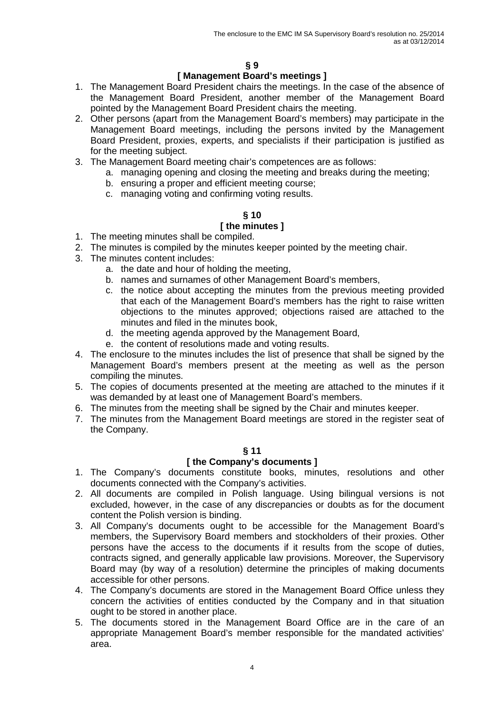### **[ Management Board's meetings ]**

- 1. The Management Board President chairs the meetings. In the case of the absence of the Management Board President, another member of the Management Board pointed by the Management Board President chairs the meeting.
- 2. Other persons (apart from the Management Board's members) may participate in the Management Board meetings, including the persons invited by the Management Board President, proxies, experts, and specialists if their participation is justified as for the meeting subject.
- 3. The Management Board meeting chair's competences are as follows:
	- a. managing opening and closing the meeting and breaks during the meeting;
		- b. ensuring a proper and efficient meeting course;
		- c. managing voting and confirming voting results.

# **§ 10**

## **[ the minutes ]**

- 1. The meeting minutes shall be compiled.
- 2. The minutes is compiled by the minutes keeper pointed by the meeting chair.
- 3. The minutes content includes:
	- a. the date and hour of holding the meeting,
	- b. names and surnames of other Management Board's members,
	- c. the notice about accepting the minutes from the previous meeting provided that each of the Management Board's members has the right to raise written objections to the minutes approved; objections raised are attached to the minutes and filed in the minutes book,
	- d. the meeting agenda approved by the Management Board,
	- e. the content of resolutions made and voting results.
- 4. The enclosure to the minutes includes the list of presence that shall be signed by the Management Board's members present at the meeting as well as the person compiling the minutes.
- 5. The copies of documents presented at the meeting are attached to the minutes if it was demanded by at least one of Management Board's members.
- 6. The minutes from the meeting shall be signed by the Chair and minutes keeper.
- 7. The minutes from the Management Board meetings are stored in the register seat of the Company.

#### **§ 11**

#### **[ the Company's documents ]**

- 1. The Company's documents constitute books, minutes, resolutions and other documents connected with the Company's activities.
- 2. All documents are compiled in Polish language. Using bilingual versions is not excluded, however, in the case of any discrepancies or doubts as for the document content the Polish version is binding.
- 3. All Company's documents ought to be accessible for the Management Board's members, the Supervisory Board members and stockholders of their proxies. Other persons have the access to the documents if it results from the scope of duties, contracts signed, and generally applicable law provisions. Moreover, the Supervisory Board may (by way of a resolution) determine the principles of making documents accessible for other persons.
- 4. The Company's documents are stored in the Management Board Office unless they concern the activities of entities conducted by the Company and in that situation ought to be stored in another place.
- 5. The documents stored in the Management Board Office are in the care of an appropriate Management Board's member responsible for the mandated activities' area.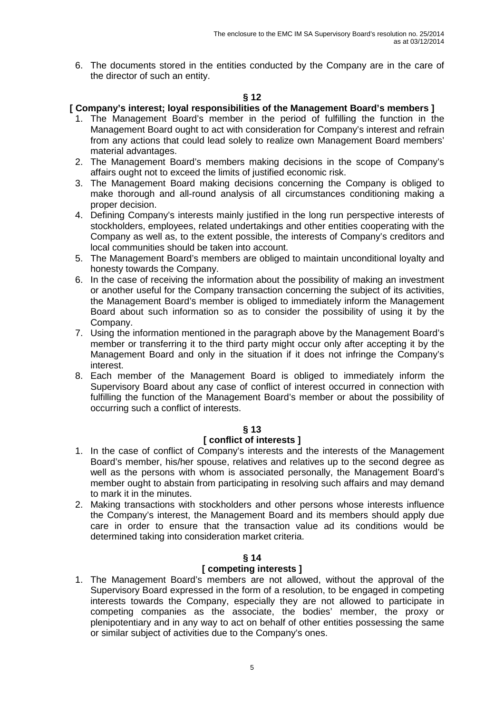6. The documents stored in the entities conducted by the Company are in the care of the director of such an entity.

### **§ 12**

### **[ Company's interest; loyal responsibilities of the Management Board's members ]**

- 1. The Management Board's member in the period of fulfilling the function in the Management Board ought to act with consideration for Company's interest and refrain from any actions that could lead solely to realize own Management Board members' material advantages.
- 2. The Management Board's members making decisions in the scope of Company's affairs ought not to exceed the limits of justified economic risk.
- 3. The Management Board making decisions concerning the Company is obliged to make thorough and all-round analysis of all circumstances conditioning making a proper decision.
- 4. Defining Company's interests mainly justified in the long run perspective interests of stockholders, employees, related undertakings and other entities cooperating with the Company as well as, to the extent possible, the interests of Company's creditors and local communities should be taken into account.
- 5. The Management Board's members are obliged to maintain unconditional loyalty and honesty towards the Company.
- 6. In the case of receiving the information about the possibility of making an investment or another useful for the Company transaction concerning the subject of its activities, the Management Board's member is obliged to immediately inform the Management Board about such information so as to consider the possibility of using it by the Company.
- 7. Using the information mentioned in the paragraph above by the Management Board's member or transferring it to the third party might occur only after accepting it by the Management Board and only in the situation if it does not infringe the Company's interest.
- 8. Each member of the Management Board is obliged to immediately inform the Supervisory Board about any case of conflict of interest occurred in connection with fulfilling the function of the Management Board's member or about the possibility of occurring such a conflict of interests.

#### **§ 13**

#### **[ conflict of interests ]**

- 1. In the case of conflict of Company's interests and the interests of the Management Board's member, his/her spouse, relatives and relatives up to the second degree as well as the persons with whom is associated personally, the Management Board's member ought to abstain from participating in resolving such affairs and may demand to mark it in the minutes.
- 2. Making transactions with stockholders and other persons whose interests influence the Company's interest, the Management Board and its members should apply due care in order to ensure that the transaction value ad its conditions would be determined taking into consideration market criteria.

#### **§ 14**

#### **[ competing interests ]**

1. The Management Board's members are not allowed, without the approval of the Supervisory Board expressed in the form of a resolution, to be engaged in competing interests towards the Company, especially they are not allowed to participate in competing companies as the associate, the bodies' member, the proxy or plenipotentiary and in any way to act on behalf of other entities possessing the same or similar subject of activities due to the Company's ones.